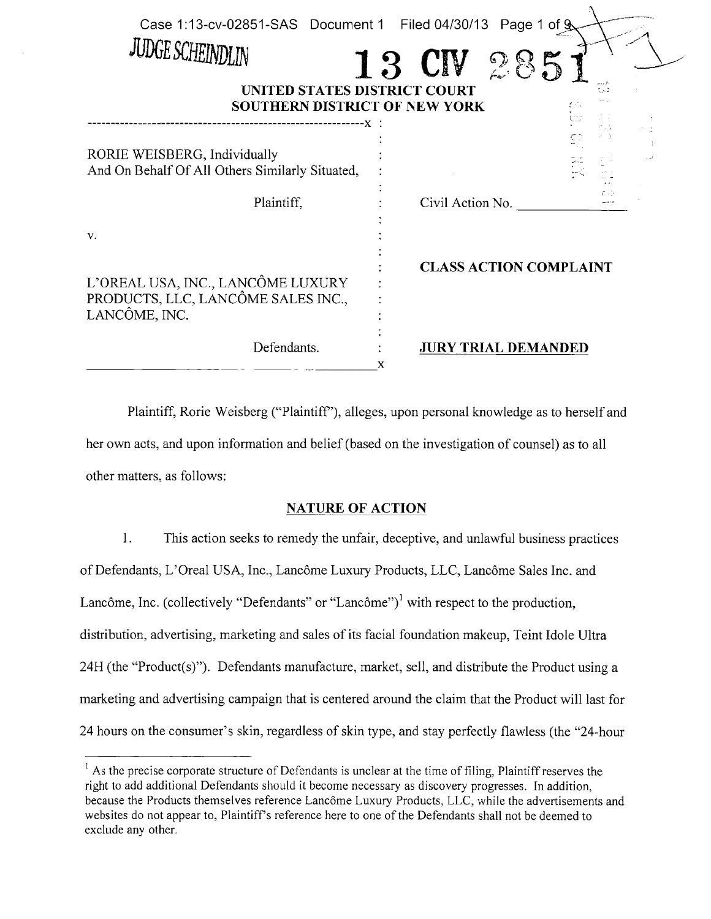| Case 1:13-cv-02851-SAS Document 1 Filed 04/30/13 Page 1 of 9<br><b>JUDGE SCHEINDLIN</b><br>13  | $\mathcal{L}$<br><b>CIA</b>   |
|------------------------------------------------------------------------------------------------|-------------------------------|
| UNITED STATES DISTRICT COURT<br><b>SOUTHERN DISTRICT OF NEW YORK</b>                           | tud                           |
| RORIE WEISBERG, Individually<br>And On Behalf Of All Others Similarly Situated,                |                               |
| Plaintiff,                                                                                     | Civil Action No.              |
| V.<br>L'OREAL USA, INC., LANCÔME LUXURY<br>PRODUCTS, LLC, LANCÔME SALES INC.,<br>LANCÔME, INC. | <b>CLASS ACTION COMPLAINT</b> |
| Defendants.<br>X                                                                               | <b>JURY TRIAL DEMANDED</b>    |

Plaintiff, Rorie Weisberg ("Plaintiff"), alleges, upon personal knowledge as to herself and her own acts, and upon information and belief (based on the investigation of counsel) as to all other matters, as follows:

# NATURE OF ACTION

1. This action seeks to remedy the unfair, deceptive, and unlawful business practices of Defendants, L'Oreal USA, Inc., Lancôme Luxury Products, LLC, Lancôme Sales Inc. and Lancôme, Inc. (collectively "Defendants" or "Lancôme")<sup>1</sup> with respect to the production, distribution, advertising, marketing and sales of its facial foundation makeup, Teint Idole Ultra 24H (the "Product(s)"). Defendants manufacture, market, sell, and distribute the Product using <sup>a</sup> marketing and advertising campaign that is centered around the claim that the Product will last for <sup>24</sup> hours on the consumer's skin, regardless of skin type, and stay perfectly flawless (the "24-hour

 $<sup>1</sup>$  As the precise corporate structure of Defendants is unclear at the time of filing, Plaintiff reserves the</sup> right to add additional Defendants should it become necessary as discovery progresses. In addition, because the Products themselves reference Lancôme Luxury Products, LLC, while the advertisements and websites do not appear to, Plaintiff's reference here to one of the Defendants shall not be deemed to exclude any other.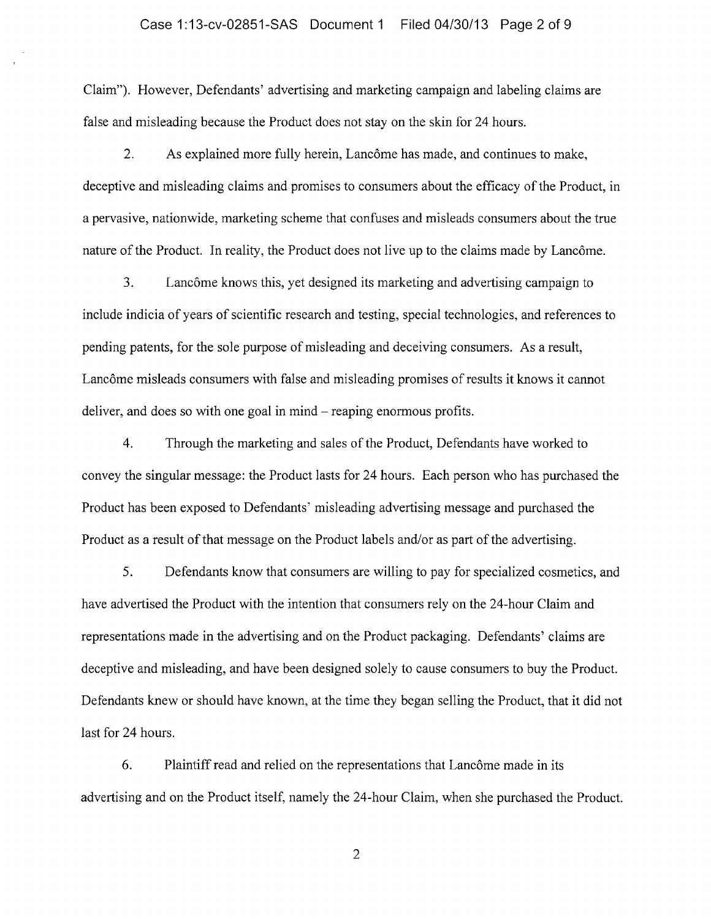#### Case 1:13-cv-02851-SAS Document <sup>1</sup> Filed 04/30/13 Page 2 of 9

Claim"). However, Defendants' advertising and marketing campaign and labeling claims are false and misleading because the Product does not stay on the skin for 24 hours.

2. As explained more fully herein, Lancôme has made, and continues to make, deceptive and misleading claims and promises to consumers about the efficacy of the Product, in a pervasive, nationwide, marketing scheme that confuses and misleads consumers about the true nature of the Product. In reality, the Product does not live up to the claims made by Lancôme.

3. Lancôme knows this, yet designed its marketing and advertising campaign to include indicia of years of scientific research and testing, special technologies, and references to pending patents, for the sole purpose of misleading and deceiving consumers. As a result, Lancôme misleads consumers with false and misleading promises of results it knows it cannot deliver, and does so with one goal in mind  $-$  reaping enormous profits.

4. Through the marketing and sales of the Product, Defendants have worked to convey the singular message: the Product lasts for 24 hours. Each person who has purchased the Product has been exposed to Defendants' misleading advertising message and purchased the Product as a result of that message on the Product labels and/or as part of the advertising.

5. Defendants know that consumers are willing to pay for specialized cosmetics, and have advertised the Product with the intention that consumers rely on the 24-hour Claim and representations made in the advertising and on the Product packaging. Defendants' claims are deceptive and misleading, and have been designed solely to cause consumers to buy the Product. Defendants knew or should have known, at the time they began selling the Product, that it did not last for 24 hours.

6. Plaintiff read and relied on the representations that Lancôme made in its advertising and on the Product itself, namely the 24-hour Claim, when she purchased the Product.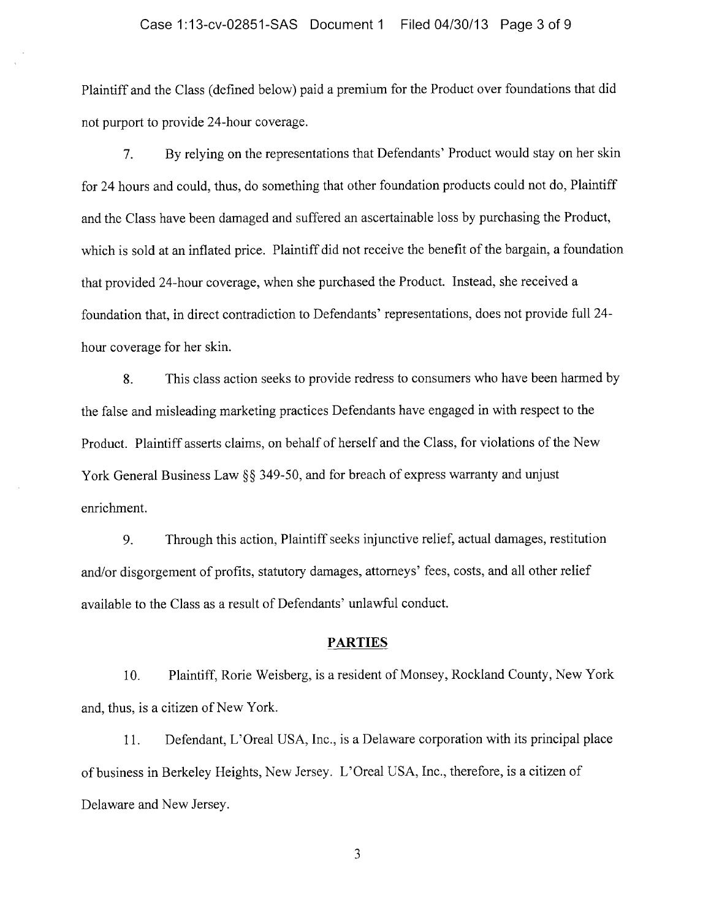#### Case 1:13-cv-02851-SAS Document <sup>1</sup> Filed 04/30/13 Page 3 of 9

Plaintiff and the Class (defined below) paid <sup>a</sup> premium for the Product over foundations that did not purport to provide 24-hour coverage.

7. By relying on the representations that Defendants' Product would stay on her skin for <sup>24</sup> hours and could, thus, do something that other foundation products could not do, Plaintiff and the Class have been damaged and suffered an ascertainable loss by purchasing the Product, which is sold at an inflated price. Plaintiff did not receive the benefit of the bargain, a foundation that provided 24-hour coverage, when she purchased the Product. Instead, she received <sup>a</sup> foundation that, in direct contradiction to Defendants' representations, does not provide full 24 hour coverage for her skin.

8. This class action seeks to provide redress to consumers who have been harmed by the false and misleading marketing practices Defendants have engaged in with respect to the Product. Plaintiff asserts claims, on behalf of herself and the Class, for violations of the New York General Business Law §§ 349-50, and for breach of express warranty and unjust enrichment.

9. Through this action, Plaintiff seeks injunctive relief, actual damages, restitution and/or disgorgement of profits, statutory damages, attorneys' fees, costs, and all other relief available to the Class as a result of Defendants' unlawful conduct.

### PARTIES

10. Plaintiff, Rorie Weisberg, is <sup>a</sup> resident of Monsey, Rockland County, New York and, thus, is a citizen of New York.

11. Defendant, L'Oreal USA, Inc., is <sup>a</sup> Delaware corporation with its principal place of business in Berkeley Heights, New Jersey. L'Oreal USA, Inc., therefore, is <sup>a</sup> citizen of Delaware and New Jersey.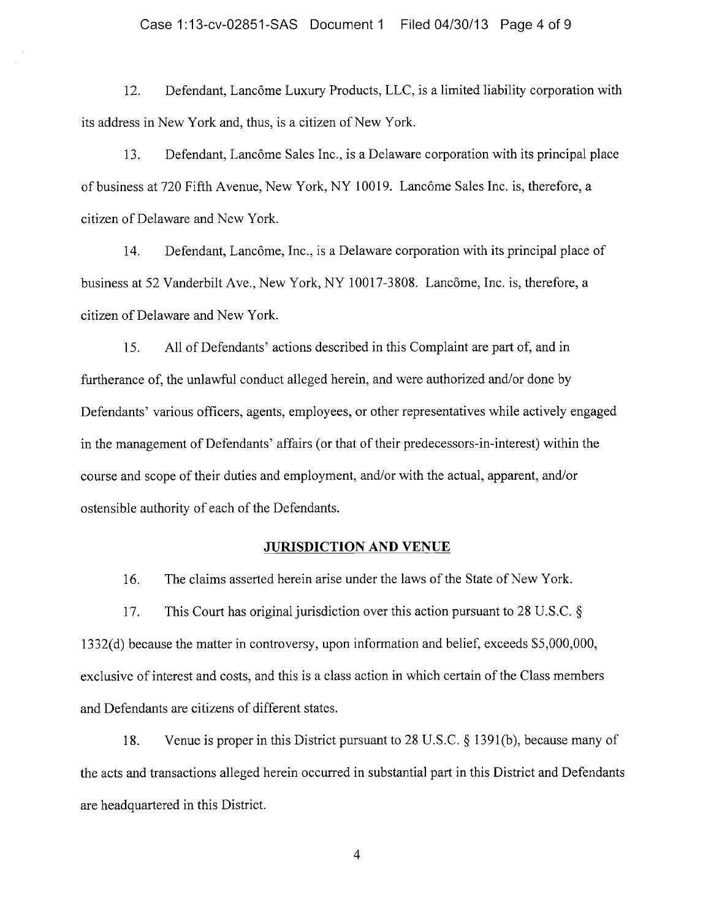12. Defendant, Lancôme Luxury Products, LLC, is <sup>a</sup> limited liability corporation with its address in New York and, thus, is a citizen of New York.

13. Defendant, Lancôme Sales Inc., is <sup>a</sup> Delaware corporation with its principal place of business at 720 Fifth Avenue, New York, NY 10019. Lancôme Sales Inc. is, therefore, a citizen of Delaware and New York.

14. Defendant, Lancôme, Inc., is <sup>a</sup> Delaware corporation with its principal place of business at 52 Vanderbilt Ave., New York, NY 10017-3808. Lancôme, Inc. is, therefore, <sup>a</sup> citizen of Delaware and New York.

15. All of Defendants' actions described in this Complaint are part of, and in furtherance of, the unlawful conduct alleged herein, and were authorized and/or done by Defendants' various officers, agents, employees, or other representatives while actively engaged in the management of Defendants' affairs (or that of their predecessors-in-interest) within the course and scope of their duties and employment, and/or with the actual, apparent, and/or ostensible authority of each of the Defendants.

#### JURISDICTION AND VENUE

16. The claims asserted herein arise under the laws of the State of New York.

17. This Court has original jurisdiction over this action pursuant to 28 U.S.C. 1332(d) because the matter in controversy, upon information and belief, exceeds \$5,000,000, exclusive of interest and costs, and this is a class action in which certain of the Class members and Defendants are citizens of different states.

18. Venue is proper in this District pursuant to 28 U.S.C.  $\S$  1391(b), because many of the acts and transactions alleged herein occurred in substantial part in this District and Defendants are headquartered in this District.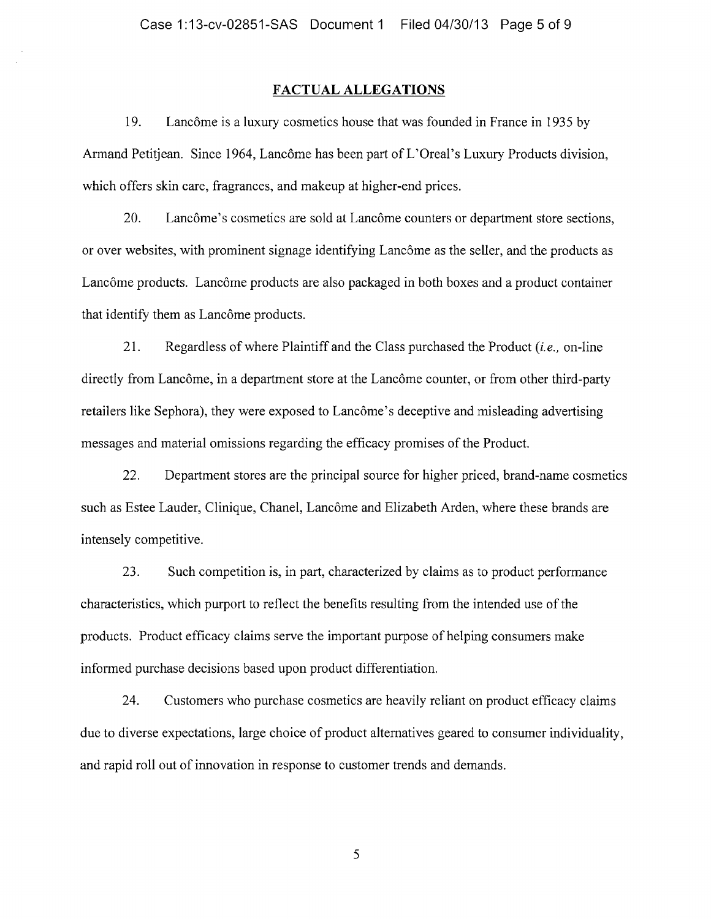## FACTUAL ALLEGATIONS

19. Lancôme is <sup>a</sup> luxury cosmetics house that was founded in France in <sup>1935</sup> by Armand Petitjean. Since 1964, Lancôme has been part of L'Oreal's Luxury Products division, which offers skin care, fragrances, and makeup at higher-end prices.

20. Lancôme's cosmetics are sold at Lancôme counters or department store sections, or over websites, with prominent signage identifying Lancôme as the seller, and the products as Lane6me products. Lancôme products are also packaged in both boxes and <sup>a</sup> product container that identify them as Lancôme products.

21. Regardless of where Plaintiff and the Class purchased the Product  $(i.e.,$  on-line directly from Lancôme, in <sup>a</sup> department store at the Lancôme counter, or from other third-party retailers like Sephora), they were exposed to Lancôme's deceptive and misleading advertising messages and material omissions regarding the efficacy promises of the Product.

22. Department stores are the principal source for higher priced, brand-name cosmetics such as Estee Lauder, Clinique, Chanel, Lancôme and Elizabeth Arden, where these brands are intensely competitive.

23. Such competition is, in part, characterized by claims as to product performance characteristics, which purport to reflect the benefits resulting from the intended use of the products. Product efficacy claims serve the important purpose ofhelping consumers make informed purchase decisions based upon product differentiation.

24. Customers who purchase cosmetics are heavily reliant on product efficacy claims due to diverse expectations, large choice of product alternatives geared to consumer individuality, and rapid roll out of innovation in response to customer trends and demands.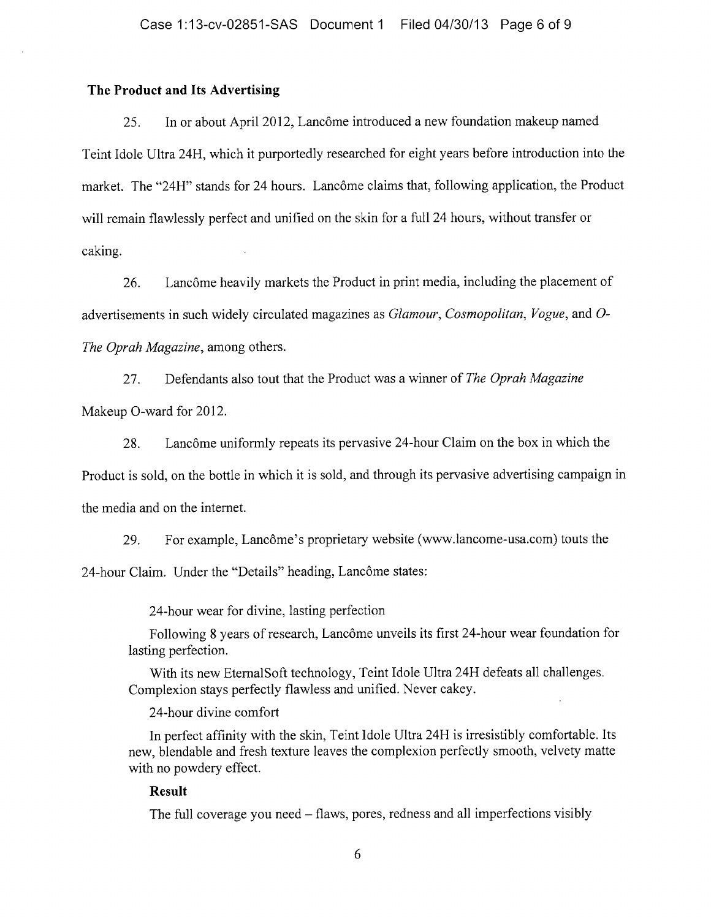## The Product and Its Advertising

25. In or about April 2012, Lancôme introduced <sup>a</sup> new foundation makeup named Teint Idole Ultra 2411, which it purportedly researched for eight years before introduction into the market. The "24H" stands for 24 hours. Lancôme claims that, following application, the Product will remain flawlessly perfect and unified on the skin for <sup>a</sup> full <sup>24</sup> hours, without transfer or caking.

26. Lancôme heavily markets the Product in print media, including the placement of advertisements in such widely circulated magazines as Glamour, Cosmopolitan, Vogue, and 0- The Oprah Magazine, among others.

27. Defendants also tout that the Product was a winner of The Oprah Magazine Makeup 0-ward for 2012.

28. Lancôme uniformly repeats its pervasive 24-hour Claim on the box in which the Product is sold, on the bottle in which it is sold, and through its pervasive advertising campaign in the media and on the internet.

29. For example, Lancôme's proprietary website (www.lancome-usa.com) touts the 24-hour Claim. Under the "Details" heading, Lancôme states:

24-hour wear for divine, lasting perfection

Following 8 years of research, Lancôme unveils its first 24-hour wear foundation for lasting perfection.

With its new EtemalSoft technology, Teint Idole Ultra 24H defeats all challenges. Complexion stays perfectly flawless and unified. Never cakey.

24-hour divine comfort

In perfect affinity with the skin, Teint Idole Ultra 24H is irresistibly comfortable. Its new, blendable and fresh texture leaves the complexion perfectly smooth, velvety matte with no powdery effect.

# Result

The full coverage you need – flaws, pores, redness and all imperfections visibly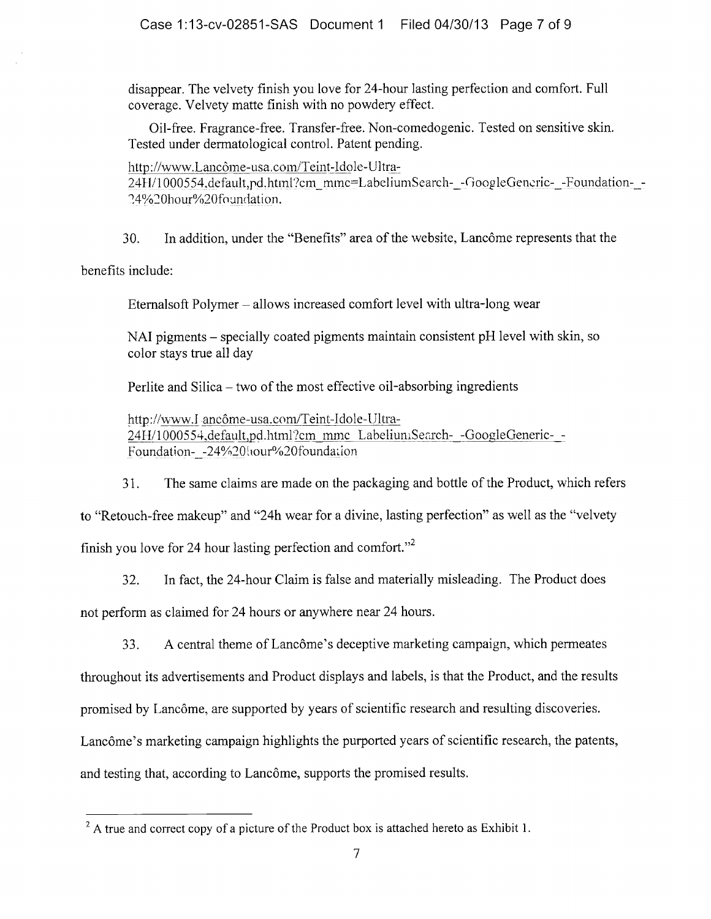disappear. The velvety finish you love for 24-hour lasting perfection and comfort. Full coverage. Velvety matte finish with no powdery effect.

Oil-free. Fragrance-free. Transfer-free. Non-comedogenic. Tested on sensitive skin. Tested under dermatological control. Patent pending.

http://www.Lancôme- usa.com/Teint-Idole-Ultra-

24H/1000554,default,pd.html?cm mmc=LabeliumSearch--GoogleGencric--Foundation--24%20hour%20foundation.

30. In addition, under the "Benefits" area of the website, Lancôme represents that the

benefits include:

Eternalsoft Polymer – allows increased comfort level with ultra-long wear

 $NAI$  pigments – specially coated pigments maintain consistent pH level with skin, so color stays true all day

Perlite and Silica  $-$  two of the most effective oil-absorbing ingredients

http://www.1 ancôme-usa.com/Teint-Idole-Ultra-24H/1000554,default,pd.html?cm mmc LabeliumSearch--GoogleGeneric--Foundation- -24%20 hour%20 foundation

31. The same claims are made on the packaging and bottle of the Product, which refers

to "Retouch-free makeup" and "24h wear for <sup>a</sup> divine, lasting perfection" as well as the "velvety

finish you love for 24 hour lasting perfection and comfort."<sup>2</sup>

32. In fact, the 24-hour Claim is false and materially misleading. The Product does

not perform as claimed for <sup>24</sup> hours or anywhere near 24 hours.

33. A central theme of Lancôme's deceptive marketing campaign, which permeates

throughout its advertisements and Product displays and labels, is that the Product, and the results

promised by Lancôme, are supported by years of scientific research and resulting discoveries.

Lancôme's marketing campaign highlights the purported years of scientific research, the patents,

and testing that, according to Lancôme, supports the promised results.

 $^{2}$  A true and correct copy of a picture of the Product box is attached hereto as Exhibit 1.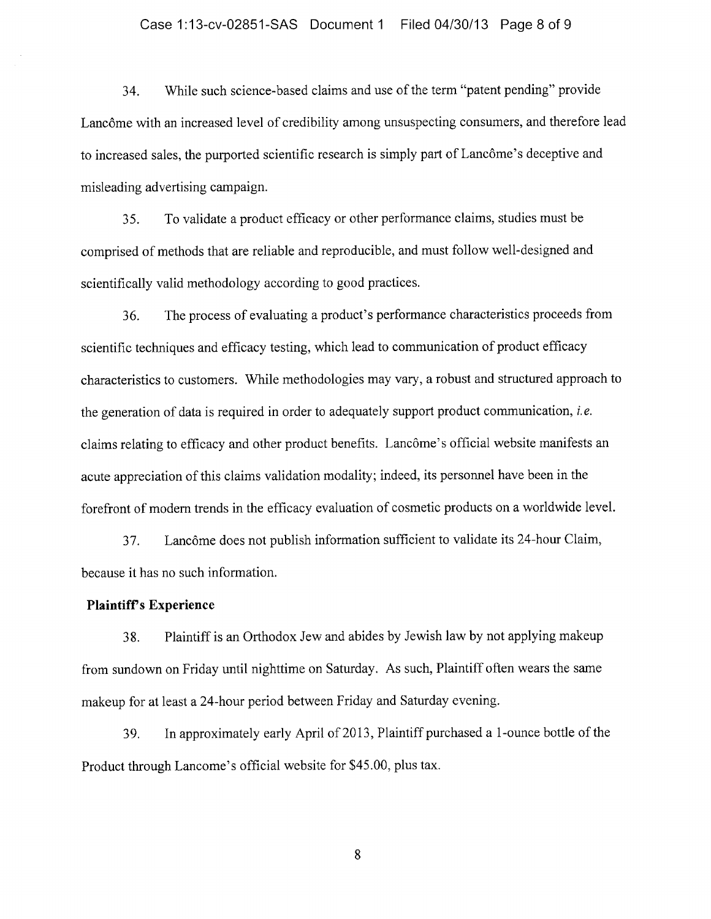#### Case 1:13-cv-02851-SAS Document <sup>1</sup> Filed 04/30/13 Page 8 of 9

34. While such science-based claims and use of the term "patent pending" provide Lancôme with an increased level of credibility among unsuspecting consumers, and therefore lead to increased sales, the purported scientific research is simply part of Lancôme's deceptive and misleading advertising campaign.

35. To validate <sup>a</sup> product efficacy or other performance claims, studies must be comprised of methods that are reliable and reproducible, and must follow well-designed and scientifically valid methodology according to good practices.

36. The process of evaluating <sup>a</sup> product's performance characteristics proceeds from scientific techniques and efficacy testing, which lead to communication of product efficacy characteristics to customers. While methodologies may vary, <sup>a</sup> robust and structured approach to the generation of data is required in order to adequately support product communication, *i.e.* claims relating to efficacy and other product benefits. Lancôme's official website manifests an acute appreciation of this claims validation modality; indeed, its personnel have been in the forefront of modem trends in the efficacy evaluation of cosmetic products on <sup>a</sup> worldwide level.

37. Lancôme does not publish information sufficient to validate its 24-hour Claim, because it has no such information.

### Plaintiff's Experience

38. Plaintiff is an Orthodox Jew and abides by Jewish law by not applying makeup from sundown on Friday until nighttime on Saturday. As such, Plaintiff often wears the same makeup for at least <sup>a</sup> 24-hour period between Friday and Saturday evening.

39. In approximately early April of 2013, Plaintiff purchased a 1-ounce bottle of the Product through Lancome's official website for \$45.00, plus tax.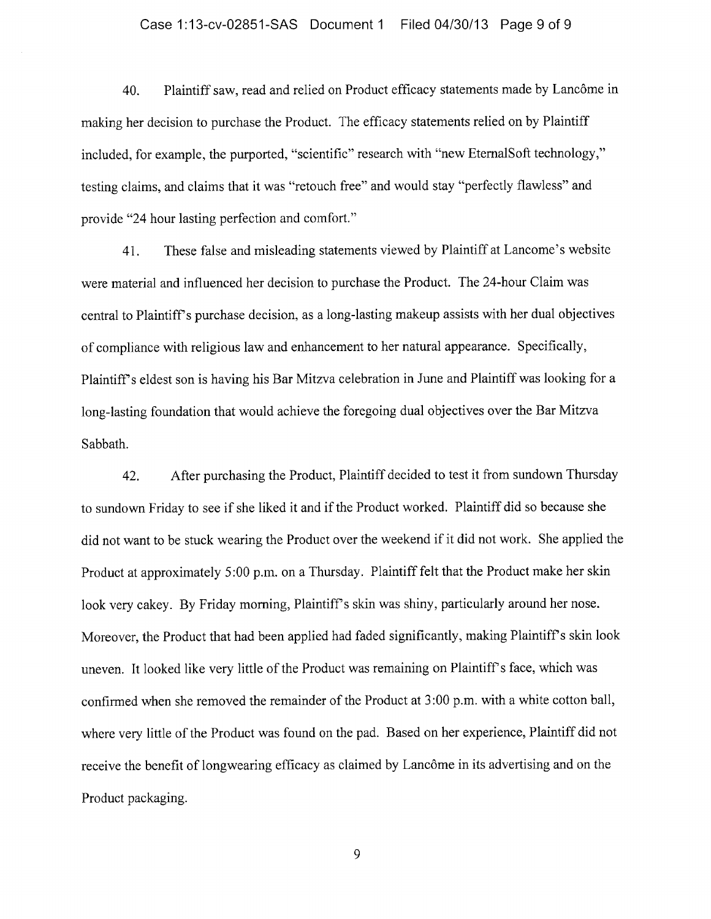#### Case 1:13-cv-02851-SAS Document <sup>1</sup> Filed 04/30/13 Page 9 of 9

40. Plaintiff saw, read and relied on Product efficacy statements made by Lancôme in making her decision to purchase the Product. The efficacy statements relied on by Plaintiff included, for example, the purported, "scientific" research with "new EternalSoft technology," testing claims, and claims that it was "retouch free" and would stay "perfectly flawless" and provide "24 hour lasting perfection and comfort."

41. These false and misleading statements viewed by Plaintiff at Lancome's website were material and influenced her decision to purchase the Product. The 24-hour Claim was central to Plaintiff's purchase decision, as <sup>a</sup> long-lasting makeup assists with her dual objectives of compliance with religious law and enhancement to her natural appearance. Specifically, Plaintiff's eldest son is having his Bar Mitzva celebration in June and Plaintiff was looking for <sup>a</sup> long-lasting foundation that would achieve the foregoing dual objectives over the Bar Mitzva Sabbath.

42. After purchasing the Product, Plaintiff decided to test it from sundown Thursday to sundown Friday to see if she liked it and if the Product worked. Plaintiff did so because she did not want to be stuck wearing the Product over the weekend if it did not work. She applied the Product at approximately 5:00 p.m. on a Thursday. Plaintiff felt that the Product make her skin look very cakey. By Friday morning, Plaintiff's skin was shiny, particularly around her nose. Moreover, the Product that had been applied had faded significantly, making Plaintiff's skin look uneven. It looked like very little of the Product was remaining on Plaintiff's face, which was confirmed when she removed the remainder of the Product at 3:00 p.m. with <sup>a</sup> white cotton ball, where very little of the Product was found on the pad. Based on her experience, Plaintiff did not receive the benefit of longwearing efficacy as claimed by Lancôme in its advertising and on the Product packaging.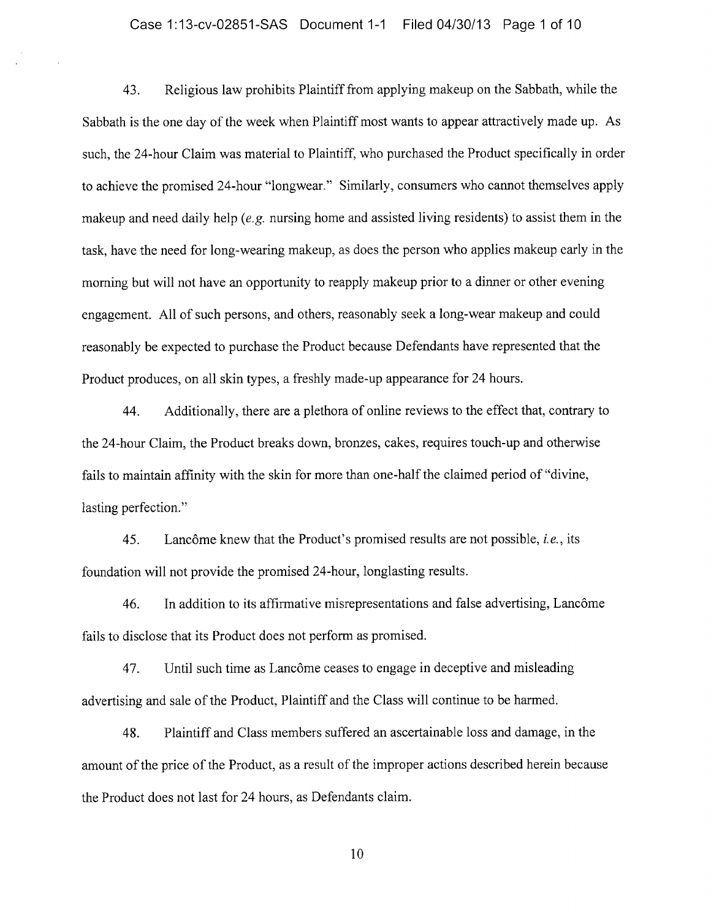#### Case 1:13-cv-02851-SAS Document 1-1 Filed 04/30/13 Page <sup>1</sup> of 10

43. Religious law prohibits Plaintiff from applying makeup on the Sabbath, while the Sabbath is the one day of the week when Plaintiff most wants to appear attractively made up. As such, the 24-hour Claim was material to Plaintiff, who purchased the Product specifically in order to achieve the promised 24-hour "Iongwear." Similarly, consumers who cannot themselves apply makeup and need daily help (e.g. nursing home and assisted living residents) to assist them in the task, have the need for long-wearing makeup, as does the person who applies makeup early in the morning but will not have an opportunity to reapply makeup prior to <sup>a</sup> dinner or other evening engagement. All of such persons, and others, reasonably seek <sup>a</sup> long-wear makeup and could reasonably be expected to purchase the Product because Defendants have represented that the Product produces, on all skin types, <sup>a</sup> freshly made-up appearance for <sup>24</sup> hours.

44. Additionally, there are <sup>a</sup> plethora of online reviews to the effect that, contrary to the 24-hour Claim, the Product breaks down, bronzes, cakes, requires touch-up and otherwise fails to maintain affinity with the skin for more than one-half the claimed period of "divine, lasting perfection."

45. Lancôme knew that the Product's promised results are not possible, i.e., its foundation will not provide the promised 24-hour, longlasting results.

46. In addition to its affirmative misrepresentations and false advertising, Lancôme fails to disclose that its Product does not perform as promised.

47. Until such time as Lancôme ceases to engage in deceptive and misleading advertising and sale of the Product, Plaintiff and the Class will continue to be harmed.

48. Plaintiff and Class members suffered an ascertainable loss and damage, in the amount of the price of the Product, as a result of the improper actions described herein because the Product does not last for 24 hours, as Defendants claim.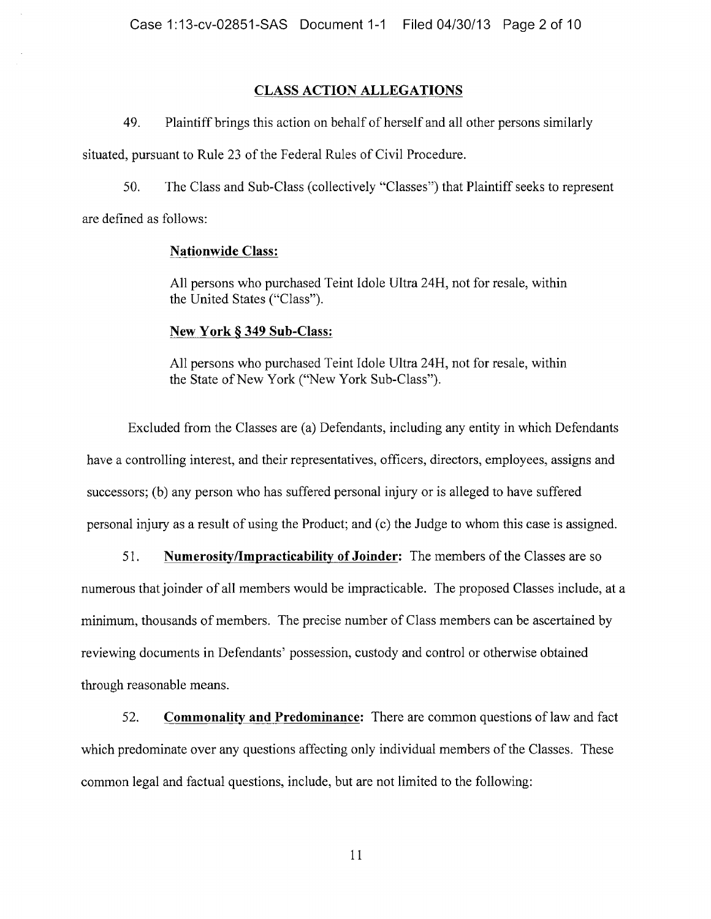# CLASS ACTION ALLEGATIONS

49. Plaintiff brings this action on behalf of herself and all other persons similarly

situated, pursuant to Rule 23 of the Federal Rules of Civil Procedure.

50. The Class and Sub-Class (collectively "Classes") that Plaintiff seeks to represent are defined as follows:

## Nationwide Class:

All persons who purchased Teint Idole Ultra 24H, not for resale, within the United States ("Class").

## New York § 349 Sub-Class:

All persons who purchased Teint Idole Ultra 24H, not for resale, within the State of New York ("New York Sub-Class").

Excluded from the Classes are (a) Defendants, including any entity in which Defendants have <sup>a</sup> controlling interest, and their representatives, officers, directors, employees, assigns and successors; (b) any person who has suffered personal injury or is alleged to have suffered personal injury as <sup>a</sup> result of using the Product; and (c) the Judge to whom this case is assigned.

51. Numerosity/Impracticability of Joinder: The members of the Classes are so numerous that joinder of all members would be impracticable. The proposed Classes include, at a minimum, thousands of members. The precise number of Class members can be ascertained by reviewing documents in Defendants' possession, custody and control or otherwise obtained through reasonable means.

52. Commonality and Predominance: There are common questions of law and fact which predominate over any questions affecting only individual members of the Classes. These common legal and factual questions, include, but are not limited to the following: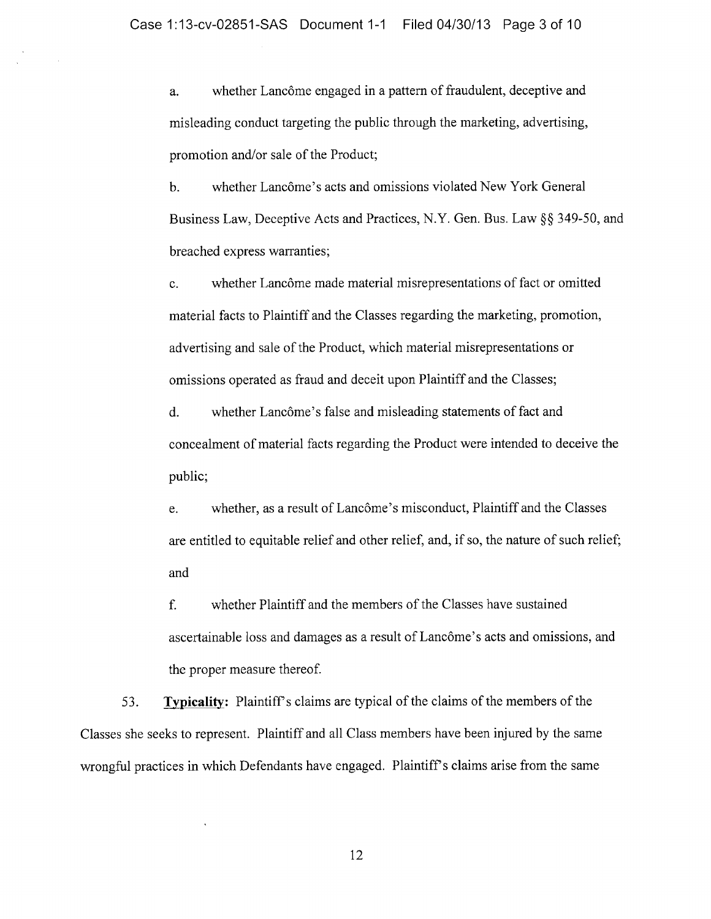a. whether Lancôme engaged in a pattern of fraudulent, deceptive and misleading conduct targeting the public through the marketing, advertising, promotion and/or sale of the Product;

b. whether Lancôme's acts and omissions violated New York General Business Law, Deceptive Acts and Practices, N.Y. Gen. Bus. Law §§ 349-50, and breached express warranties;

c. whether Lancôme made material misrepresentations of fact or omitted material facts to Plaintiff and the Classes regarding the marketing, promotion, advertising and sale of the Product, which material misrepresentations or omissions operated as fraud and deceit upon Plaintiff and the Classes;

d. whether Lancôme's false and misleading statements of fact and concealment of material facts regarding the Product were intended to deceive the public;

e. whether, as <sup>a</sup> result of Lancôme's misconduct, Plaintiff and the Classes are entitled to equitable relief and other relief, and, if so, the nature of such relief; and

f. whether Plaintiff and the members of the Classes have sustained ascertainable loss and damages as a result of Lancôme's acts and omissions, and the proper measure thereof.

53. Typicality: Plaintiff's claims are typical of the claims of the members of the Classes she seeks to represent. Plaintiff and all Class members have been injured by the same wrongful practices in which Defendants have engaged. Plaintiff's claims arise from the same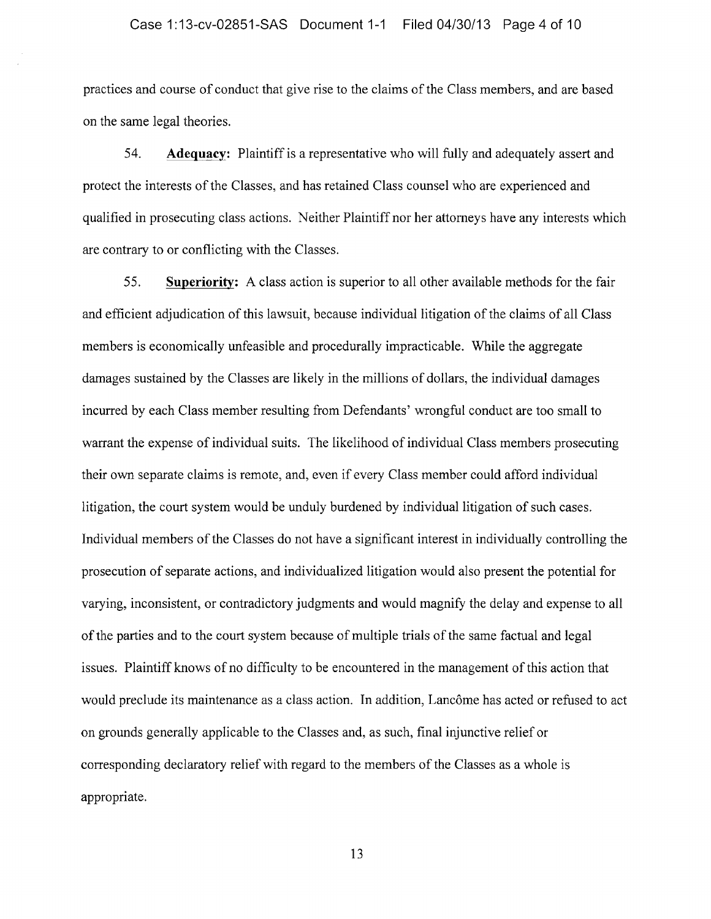practices and course of conduct that give rise to the claims of the Class members, and are based on the same legal theories.

54. Adequacy: Plaintiff is <sup>a</sup> representative who will fully and adequately assert and protect the interests of the Classes, and has retained Class counsel who are experienced and qualified in prosecuting class actions. Neither Plaintiff nor her attorneys have any interests which are contrary to or conflicting with the Classes.

55. Superiority: A class action is superior to all other available methods for the fair and efficient adjudication of this lawsuit, because individual litigation of the claims of all Class members is economically unfeasible and procedurally impracticable. While the aggregate damages sustained by the Classes are likely in the millions of dollars, the individual damages incurred by each Class member resulting from Defendants' wrongful conduct are too small to warrant the expense of individual suits. The likelihood of individual Class members prosecuting their own separate claims is remote, and, even if every Class member could afford individual litigation, the court system would be unduly burdened by individual litigation of such cases. Individual members of the Classes do not have <sup>a</sup> significant interest in individually controlling the prosecution of separate actions, and individualized litigation would also present the potential for varying, inconsistent, or contradictory judgments and would magnify the delay and expense to all of the parties and to the court system because of multiple trials of the same factual and legal issues. Plaintiff knows of no difficulty to be encountered in the management of this action that would preclude its maintenance as <sup>a</sup> class action. In addition, Lancôme has acted or refused to act on grounds generally applicable to the Classes and, as such, final injunctive relief or corresponding declaratory relief with regard to the members of the Classes as <sup>a</sup> whole is appropriate.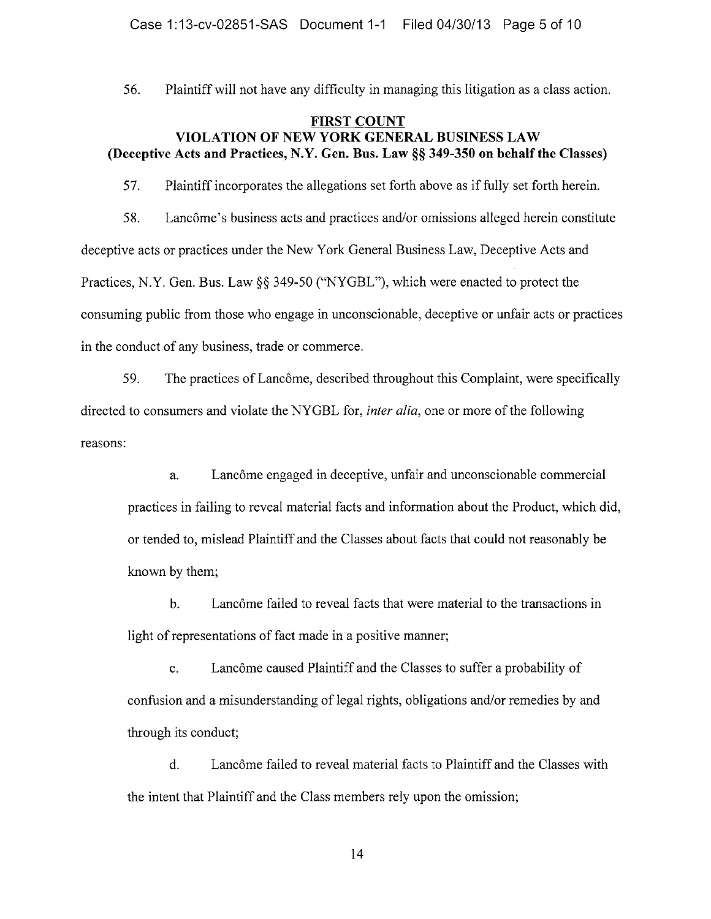56. Plaintiff will not have any difficulty in managing this litigation as <sup>a</sup> class action.

# FIRST COUNT VIOLATION OF NEW YORK GENERAL BUSINESS LAW (Deceptive Acts and Practices, N.Y. Gen. Bus. Law §§ 349-350 on behalf the Classes)

57. Plaintiff incorporates the allegations set forth above as iffully set forth herein.

58. Lanetime's business acts and practices and/or omissions alleged herein constitute deceptive acts or practices under the New York General Business Law, Deceptive Acts and Practices, N.Y. Gen. Bus. Law  $\S$  349-50 ("NYGBL"), which were enacted to protect the consuming public from those who engage in unconscionable, deceptive or unfair acts or practices in the conduct of any business, trade or commerce.

59. The practices ofLancôme, described throughout this Complaint, were specifically directed to consumers and violate the NYGBL for, *inter alia*, one or more of the following reasons:

a. Lancôme engaged in deceptive, unfair and unconscionable commercial practices in failing to reveal material facts and information about the Product, which did, or tended to, mislead Plaintiff and the Classes about facts that could not reasonably be known by them;

b. Lancôme failed to reveal facts that were material to the transactions in light of representations of fact made in a positive manner;

c. Lancôme caused Plaintiff and the Classes to suffer <sup>a</sup> probability of confusion and <sup>a</sup> misunderstanding of legal rights, obligations and/or remedies by and through its conduct;

d. Lancôme failed to reveal material facts to Plaintiff and the Classes with the intent that Plaintiff and the Class members rely upon the omission;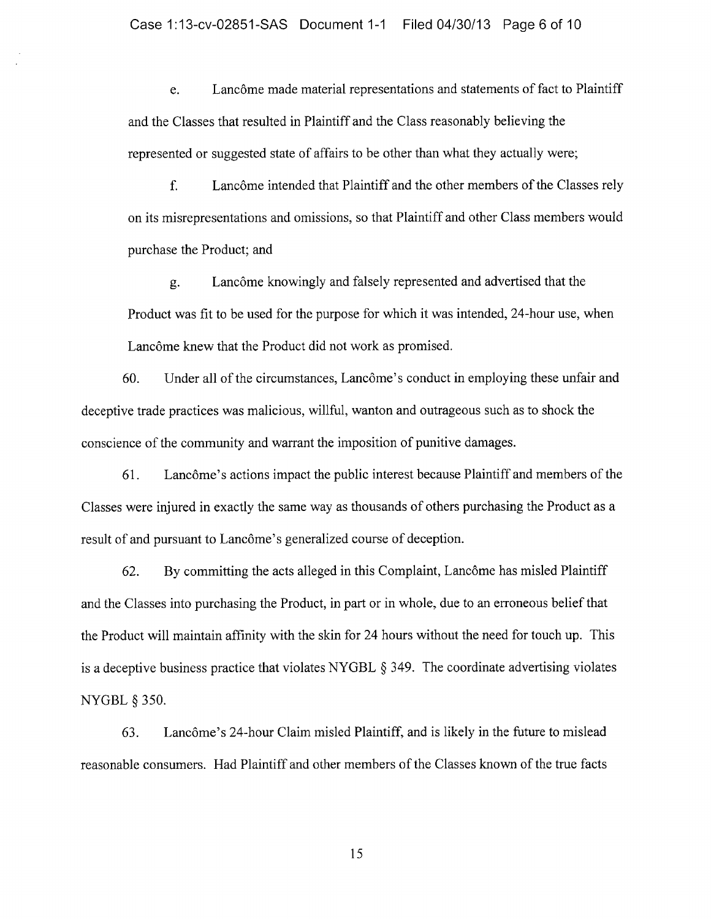e. Lancôme made material representations and statements of fact to Plaintiff and the Classes that resulted in Plaintiff and the Class reasonably believing the represented or suggested state of affairs to be other than what they actually were;

f. Lancôme intended that Plaintiff and the other members of the Classes rely on its misrepresentations and omissions, so that Plaintiff and other Class members would purchase the Product; and

g. Lancôme knowingly and falsely represented and advertised that the Product was fit to be used for the purpose for which it was intended, 24-hour use, when Lancôme knew that the Product did not work as promised.

60. Under all of the circumstances, Lancôme's conduct in employing these unfair and deceptive trade practices was malicious, willful, wanton and outrageous such as to shock the conscience of the community and warrant the imposition of punitive damages.

61. Lancôme's actions impact the public interest because Plaintiff and members of the Classes were injured in exactly the same way as thousands of others purchasing the Product as <sup>a</sup> result of and pursuant to Lancôme's generalized course of deception.

62. By committing the acts alleged in this Complaint, Lancôme has misled Plaintiff and the Classes into purchasing the Product, in part or in whole, due to an erroneous belief that the Product will maintain affinity with the skin for <sup>24</sup> hours without the need for touch up. This is a deceptive business practice that violates NYGBL  $\S$  349. The coordinate advertising violates **NYGBL § 350.** 

63. Lancôme's 24-hour Claim misled Plaintiff, and is likely in the future to mislead reasonable consumers. Had Plaintiff and other members of the Classes known of the true facts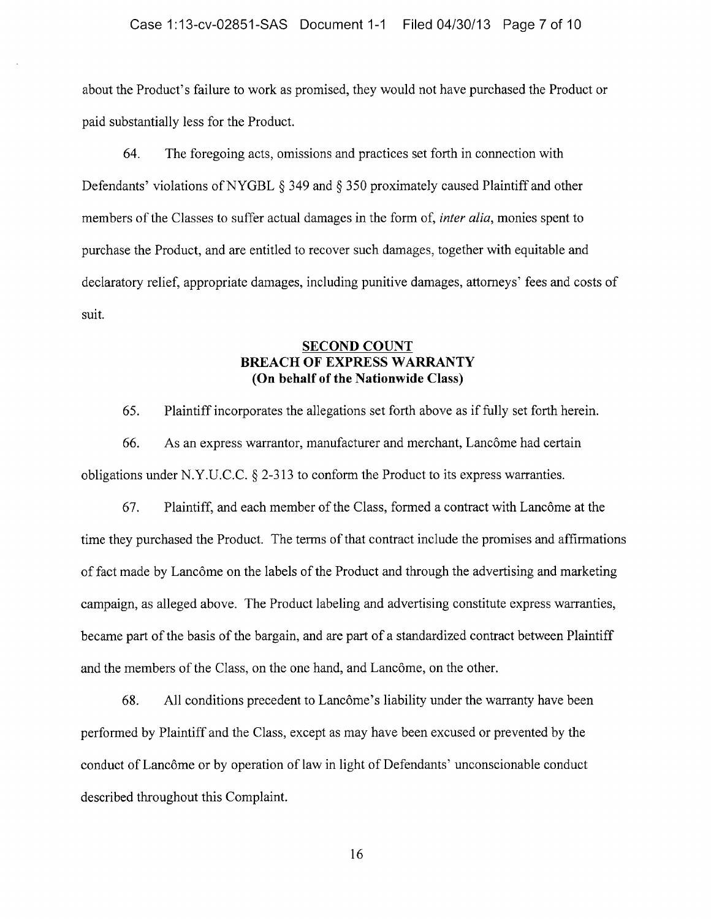about the Product's failure to work as promised, they would not have purchased the Product or paid substantially less for the Product.

64. The foregoing acts, omissions and practices set forth in connection with Defendants' violations of NYGBL  $\S$  349 and  $\S$  350 proximately caused Plaintiff and other members of the Classes to suffer actual damages in the form of, *inter alia*, monies spent to purchase the Product, and are entitled to recover such damages, together with equitable and declaratory relief, appropriate damages, including punitive damages, attorneys' fees and costs of suit.

# SECOND COUNT BREACH OF EXPRESS WARRANTY (On behalf of the Nationwide Class)

65. Plaintiff incorporates the allegations set forth above as iffully set forth herein.

66. As an express warrantor, manufacturer and merchant, Lancôme had certain obligations under N.Y.U.C.C.  $\S$  2-313 to conform the Product to its express warranties.

67. Plaintiff, and each member of the Class, formed <sup>a</sup> contract with Lancôme at the time they purchased the Product. The terms of that contract include the promises and affirmations of fact made by Lancôme on the labels of the Product and through the advertising and marketing campaign, as alleged above. The Product labeling and advertising constitute express warranties, became part of the basis of the bargain, and are part of a standardized contract between Plaintiff and the members of the Class, on the one hand, and Lancôme, on the other.

68. All conditions precedent to Lancôme's liability under the warranty have been performed by Plaintiff and the Class, except as may have been excused or prevented by the conduct of Lancôme or by operation of law in light of Defendants' unconscionable conduct described throughout this Complaint.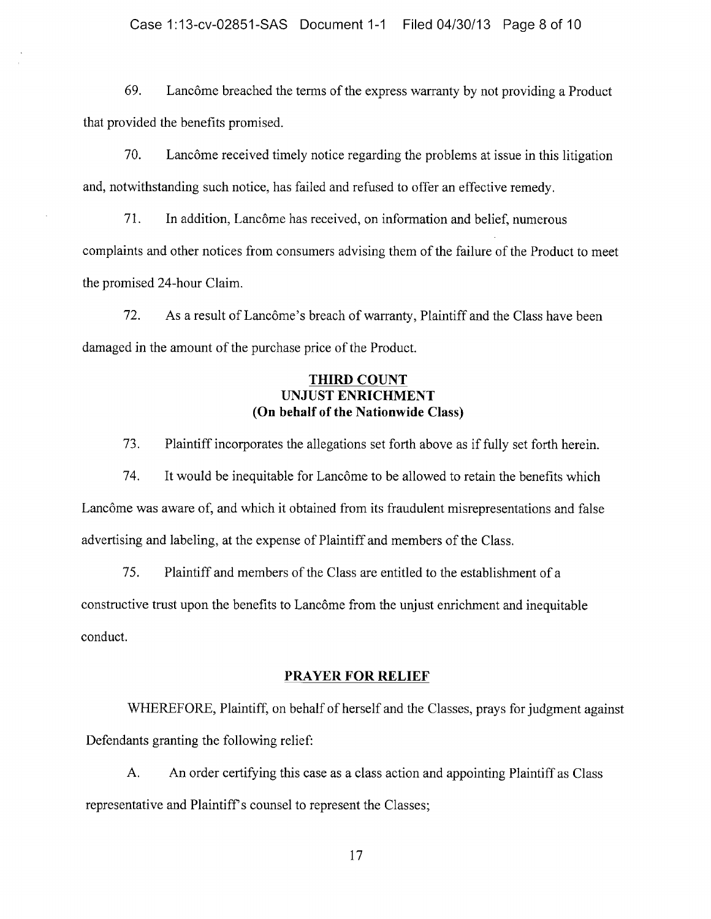69. Lane6 Let breached the terms of the express warranty by not providing a Product that provided the benefits promised.

70. Lancôme received timely notice regarding the problems at issue in this litigation and, notwithstanding such notice, has failed and refused to offer an effective remedy.

71. In addition, Lancôme has received, on information and belief, numerous complaints and other notices from consumers advising them of the failure of the Product to meet the promised 24-hour Claim.

72. As a result of Lancôme's breach of warranty, Plaintiff and the Class have been damaged in the amount of the purchase price of the Product.

# **THIRD COUNT** UNJUST ENRICHMENT (On behalf of the Nationwide Class)

73. Plaintiff incorporates the allegations set forth above as iffully set forth herein.

74. It would be inequitable for Lancôme to be allowed to retain the benefits which Lancôme was aware of, and which it obtained from its fraudulent misrepresentations and false advertising and labeling, at the expense of Plaintiff and members of the Class.

75. Plaintiff and members of the Class are entitled to the establishment of a constructive trust upon the benefits to Lancôme from the unjust enrichment and inequitable conduct.

## PRAYER FOR RELIEF

WHEREFORE, Plaintiff, on behalf of herself and the Classes, prays for judgment against Defendants granting the following relief:

A. An order certifying this case as <sup>a</sup> class action and appointing Plaintiff as Class representative and Plaintiff's counsel to represent the Classes;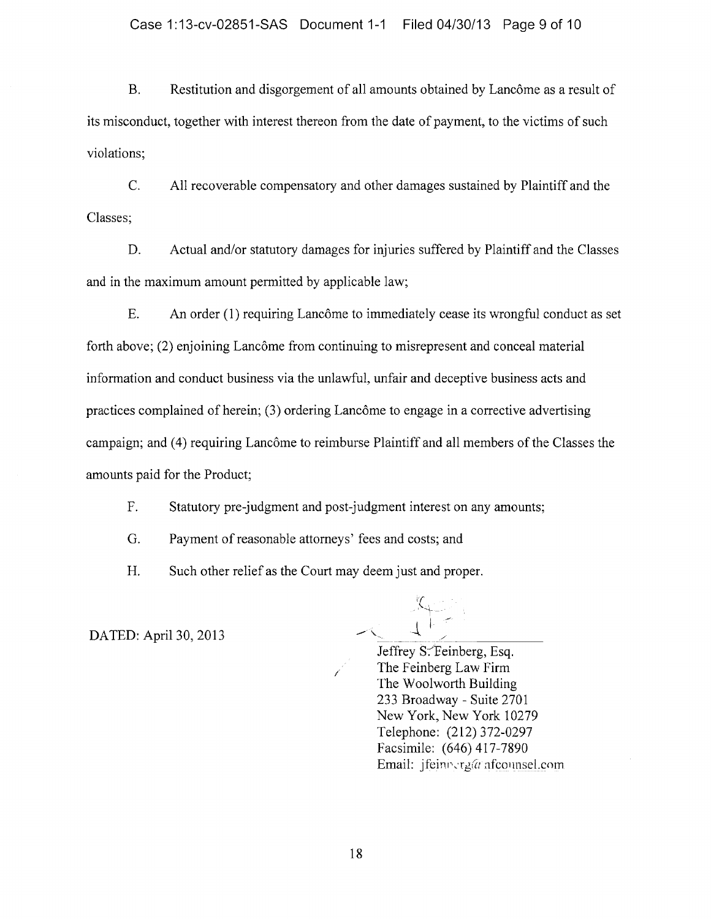B. Restitution and disgorgement of all amounts obtained by Lancôme as a result of its misconduct, together with interest thereon from the date of payment, to the victims of such violations;

C. All recoverable compensatory and other damages sustained by Plaintiff and the Classes;

D. Actual and/or statutory damages for injuries suffered by Plaintiff and the Classes and in the maximum amount permitted by applicable law;

E. An order (1) requiring Lancôme to immediately cease its wrongful conduct as set forth above; (2) enjoining Lancôme from continuing to misrepresent and conceal material information and conduct business via the unlawful, unfair and deceptive business acts and practices complained of herein;  $(3)$  ordering Lancôme to engage in a corrective advertising campaign; and (4) requiring Lancôme to reimburse Plaintiff and all members of the Classes the amounts paid for the Product;

F. Statutory pre-judgment and post-judgment interest on any amounts;

G. Payment of reasonable attorneys' fees and costs; and

H. Such other relief as the Court may deem just and proper.

DATED: April 30, 2013

Jeffrey S. Eeinberg, Esq. The Feinberg Law Firm The Woolworth Building 233 Broadway - Suite 2701 New York, New York 10279 Telephone: (212) 372-0297 Facsimile: (646) 417-7890 Email: jfeiniserganfeolmsel.com